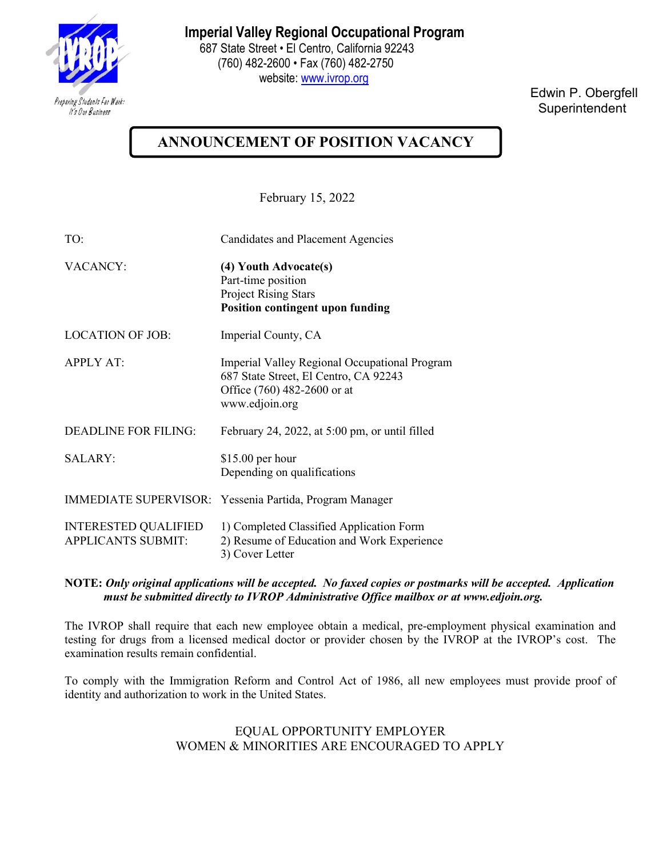

**Imperial Valley Regional Occupational Program**

 687 State Street • El Centro, California 92243 (760) 482-2600 • Fax (760) 482-2750 website: [www.ivrop.org](http://www.ivrop.org/)

> Edwin P. Obergfell **Superintendent**

## **ANNOUNCEMENT OF POSITION VACANCY**

February 15, 2022

| TO:                                                      | <b>Candidates and Placement Agencies</b>                                                                                                |
|----------------------------------------------------------|-----------------------------------------------------------------------------------------------------------------------------------------|
| <b>VACANCY:</b>                                          | (4) Youth Advocate(s)<br>Part-time position<br><b>Project Rising Stars</b><br><b>Position contingent upon funding</b>                   |
| <b>LOCATION OF JOB:</b>                                  | Imperial County, CA                                                                                                                     |
| <b>APPLY AT:</b>                                         | Imperial Valley Regional Occupational Program<br>687 State Street, El Centro, CA 92243<br>Office (760) 482-2600 or at<br>www.edjoin.org |
| <b>DEADLINE FOR FILING:</b>                              | February 24, 2022, at 5:00 pm, or until filled                                                                                          |
| <b>SALARY:</b>                                           | $$15.00$ per hour<br>Depending on qualifications                                                                                        |
|                                                          | IMMEDIATE SUPERVISOR: Yessenia Partida, Program Manager                                                                                 |
| <b>INTERESTED QUALIFIED</b><br><b>APPLICANTS SUBMIT:</b> | 1) Completed Classified Application Form<br>2) Resume of Education and Work Experience<br>3) Cover Letter                               |

**NOTE:** *Only original applications will be accepted. No faxed copies or postmarks will be accepted. Application must be submitted directly to IVROP Administrative Office mailbox or at www.edjoin.org.* 

The IVROP shall require that each new employee obtain a medical, pre-employment physical examination and testing for drugs from a licensed medical doctor or provider chosen by the IVROP at the IVROP's cost. The examination results remain confidential.

To comply with the Immigration Reform and Control Act of 1986, all new employees must provide proof of identity and authorization to work in the United States.

> EQUAL OPPORTUNITY EMPLOYER WOMEN & MINORITIES ARE ENCOURAGED TO APPLY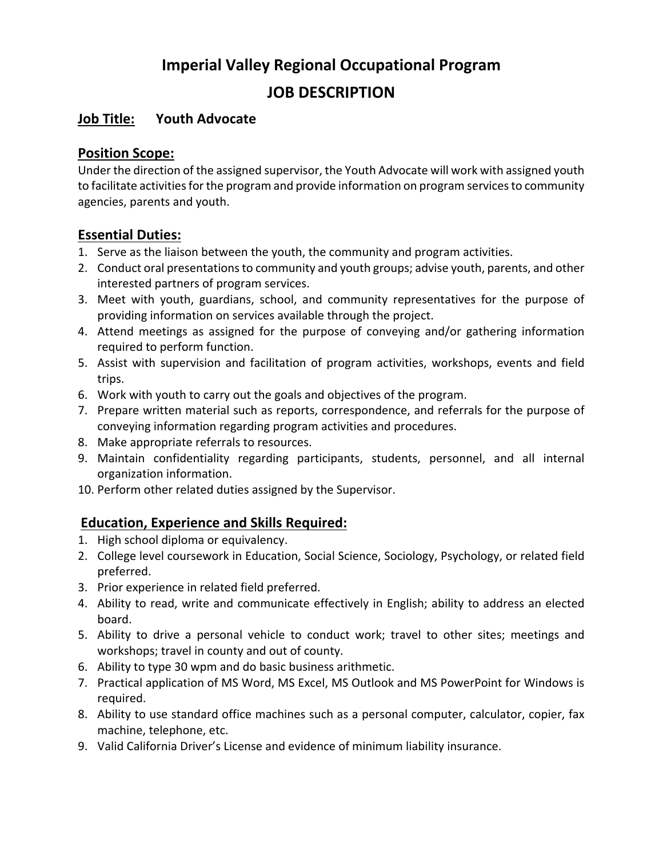# **Imperial Valley Regional Occupational Program**

### **JOB DESCRIPTION**

#### **Job Title: Youth Advocate**

#### **Position Scope:**

Under the direction of the assigned supervisor, the Youth Advocate will work with assigned youth to facilitate activities for the program and provide information on program services to community agencies, parents and youth.

#### **Essential Duties:**

- 1. Serve as the liaison between the youth, the community and program activities.
- 2. Conduct oral presentations to community and youth groups; advise youth, parents, and other interested partners of program services.
- 3. Meet with youth, guardians, school, and community representatives for the purpose of providing information on services available through the project.
- 4. Attend meetings as assigned for the purpose of conveying and/or gathering information required to perform function.
- 5. Assist with supervision and facilitation of program activities, workshops, events and field trips.
- 6. Work with youth to carry out the goals and objectives of the program.
- 7. Prepare written material such as reports, correspondence, and referrals for the purpose of conveying information regarding program activities and procedures.
- 8. Make appropriate referrals to resources.
- 9. Maintain confidentiality regarding participants, students, personnel, and all internal organization information.
- 10. Perform other related duties assigned by the Supervisor.

#### **Education, Experience and Skills Required:**

- 1. High school diploma or equivalency.
- 2. College level coursework in Education, Social Science, Sociology, Psychology, or related field preferred.
- 3. Prior experience in related field preferred.
- 4. Ability to read, write and communicate effectively in English; ability to address an elected board.
- 5. Ability to drive a personal vehicle to conduct work; travel to other sites; meetings and workshops; travel in county and out of county.
- 6. Ability to type 30 wpm and do basic business arithmetic.
- 7. Practical application of MS Word, MS Excel, MS Outlook and MS PowerPoint for Windows is required.
- 8. Ability to use standard office machines such as a personal computer, calculator, copier, fax machine, telephone, etc.
- 9. Valid California Driver's License and evidence of minimum liability insurance.